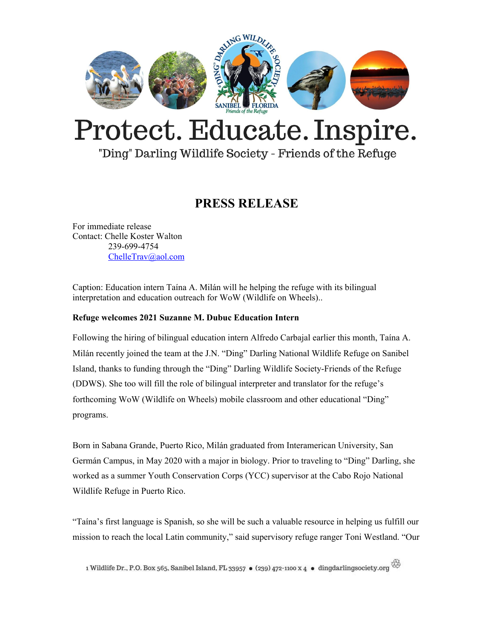

# Protect. Educate. Inspire.

### "Ding" Darling Wildlife Society - Friends of the Refuge

## **PRESS RELEASE**

For immediate release Contact: Chelle Koster Walton 239-699-4754 [ChelleTrav@aol.com](mailto:ChelleTrav@aol.com)

Caption: Education intern Taína A. Milán will he helping the refuge with its bilingual interpretation and education outreach for WoW (Wildlife on Wheels)..

#### **Refuge welcomes 2021 Suzanne M. Dubuc Education Intern**

Following the hiring of bilingual education intern Alfredo Carbajal earlier this month, Taína A. Milán recently joined the team at the J.N. "Ding" Darling National Wildlife Refuge on Sanibel Island, thanks to funding through the "Ding" Darling Wildlife Society-Friends of the Refuge (DDWS). She too will fill the role of bilingual interpreter and translator for the refuge's forthcoming WoW (Wildlife on Wheels) mobile classroom and other educational "Ding" programs.

Born in Sabana Grande, Puerto Rico, Milán graduated from Interamerican University, San Germán Campus, in May 2020 with a major in biology. Prior to traveling to "Ding" Darling, she worked as a summer Youth Conservation Corps (YCC) supervisor at the Cabo Rojo National Wildlife Refuge in Puerto Rico.

"Taína's first language is Spanish, so she will be such a valuable resource in helping us fulfill our mission to reach the local Latin community," said supervisory refuge ranger Toni Westland. "Our

1 Wildlife Dr., P.O. Box 565, Sanibel Island, FL 33957 • (239) 472-1100 x 4 • dingdarlingsociety.org